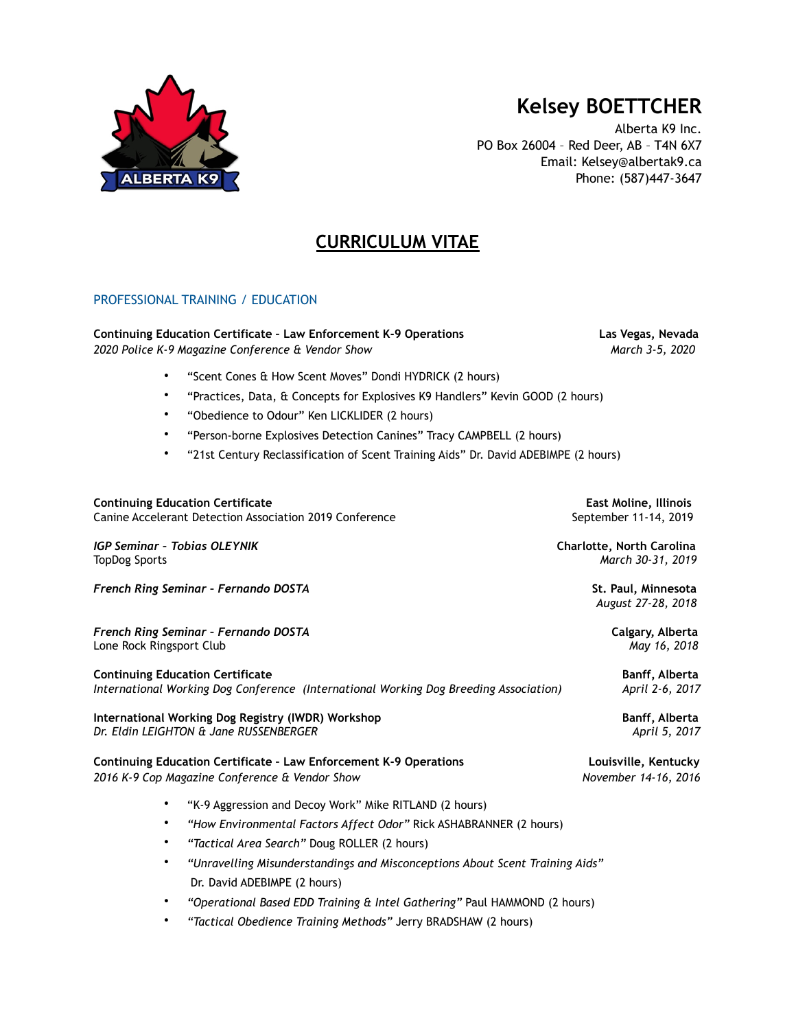

# **Kelsey BOETTCHER**

Alberta K9 Inc. PO Box 26004 – Red Deer, AB – T4N 6X7 Email: Kelsey@albertak9.ca Phone: (587)447-3647

# **CURRICULUM VITAE**

# PROFESSIONAL TRAINING / EDUCATION

#### **Continuing Education Certificate – Law Enforcement K-9 Operations Las Vegas, Nevada** *2020 Police K-9 Magazine Conference & Vendor Show March 3-5, 2020*

- "Scent Cones & How Scent Moves" Dondi HYDRICK (2 hours)
- "Practices, Data, & Concepts for Explosives K9 Handlers" Kevin GOOD (2 hours)
- "Obedience to Odour" Ken LICKLIDER (2 hours)
- "Person-borne Explosives Detection Canines" Tracy CAMPBELL (2 hours)
- "21st Century Reclassification of Scent Training Aids" Dr. David ADEBIMPE (2 hours)

| <b>Continuing Education Certificate</b><br>Canine Accelerant Detection Association 2019 Conference                               |                                                                              | East Moline, Illinois<br>September 11-14, 2019 |
|----------------------------------------------------------------------------------------------------------------------------------|------------------------------------------------------------------------------|------------------------------------------------|
| <b>IGP Seminar - Tobias OLEYNIK</b><br><b>TopDog Sports</b>                                                                      |                                                                              | Charlotte, North Carolina<br>March 30-31, 2019 |
| French Ring Seminar - Fernando DOSTA                                                                                             | St. Paul, Minnesota<br>August 27-28, 2018                                    |                                                |
| French Ring Seminar - Fernando DOSTA<br>Lone Rock Ringsport Club                                                                 |                                                                              | Calgary, Alberta<br>May 16, 2018               |
| <b>Continuing Education Certificate</b><br>International Working Dog Conference (International Working Dog Breeding Association) | Banff, Alberta<br>April 2-6, 2017                                            |                                                |
| International Working Dog Registry (IWDR) Workshop<br>Dr. Eldin LEIGHTON & Jane RUSSENBERGER                                     | Banff, Alberta<br>April 5, 2017                                              |                                                |
| <b>Continuing Education Certificate - Law Enforcement K-9 Operations</b><br>2016 K-9 Cop Magazine Conference & Vendor Show       |                                                                              | Louisville, Kentucky<br>November 14-16, 2016   |
|                                                                                                                                  | "K-9 Aggression and Decoy Work" Mike RITLAND (2 hours)                       |                                                |
| $\bullet$                                                                                                                        | "How Environmental Factors Affect Odor" Rick ASHABRANNER (2 hours)           |                                                |
| ٠                                                                                                                                | "Tactical Area Search" Doug ROLLER (2 hours)                                 |                                                |
| ٠                                                                                                                                | "Unravelling Misunderstandings and Misconceptions About Scent Training Aids" |                                                |
|                                                                                                                                  | Dr. David ADEBIMPE (2 hours)                                                 |                                                |

- *"Operational Based EDD Training & Intel Gathering"* Paul HAMMOND (2 hours)
- *"Tactical Obedience Training Methods"* Jerry BRADSHAW (2 hours)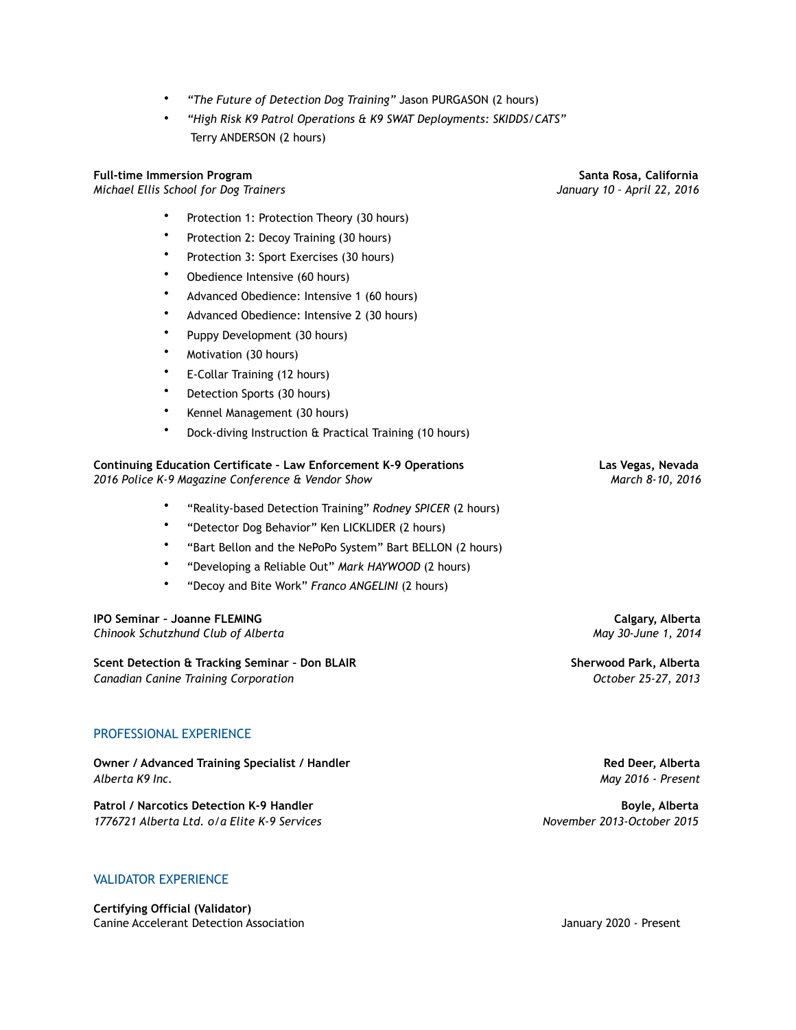- *"The Future of Detection Dog Training"* Jason PURGASON (2 hours)
- *"High Risk K9 Patrol Operations & K9 SWAT Deployments: SKIDDS/CATS"*  Terry ANDERSON (2 hours)

### **Full-time Immersion Program****Santa Rosa, California**

*Michael Ellis School for Dog Trainers January 10 – April 22, 2016* 

Protection 1: Protection Theory (30 hours)

- Protection 2: Decoy Training (30 hours)
- Protection 3: Sport Exercises (30 hours)
- Obedience Intensive (60 hours)
- Advanced Obedience: Intensive 1 (60 hours)
- Advanced Obedience: Intensive 2 (30 hours)
- Puppy Development (30 hours)
- Motivation (30 hours)
- E-Collar Training (12 hours)
- Detection Sports (30 hours)
- Kennel Management (30 hours)
- Dock-diving Instruction & Practical Training (10 hours)

#### **Continuing Education Certificate – Law Enforcement K-9 Operations Las Vegas, Nevada** *2016 Police K-9 Magazine Conference & Vendor Show March 8-10, 2016*

- "Reality-based Detection Training" *Rodney SPICER* (2 hours)
- "Detector Dog Behavior" Ken LICKLIDER (2 hours)
- "Bart Bellon and the NePoPo System" Bart BELLON (2 hours)
- "Developing a Reliable Out" *Mark HAYWOOD* (2 hours)
- "Decoy and Bite Work" *Franco ANGELINI* (2 hours)

**IPO Seminar – Joanne FLEMING****Calgary, Alberta** *Chinook Schutzhund Club of Alberta May 30-June 1, 2014*

**Scent Detection & Tracking Seminar – Don BLAIR****Sherwood Park, Alberta** *Canadian Canine Training Corporation October 25-27, 2013* 

#### PROFESSIONAL EXPERIENCE

**Owner / Advanced Training Specialist / Handler****Red Deer, Alberta** *Alberta K9 Inc. May 2016 - Present* 

**Patrol / Narcotics Detection K-9 Handler****Boyle, Alberta** *1776721 Alberta Ltd. o/a Elite K-9 Services November 2013-October 2015*

#### VALIDATOR EXPERIENCE

**Certifying Official (Validator)**  Canine Accelerant Detection Association January 2020 - Present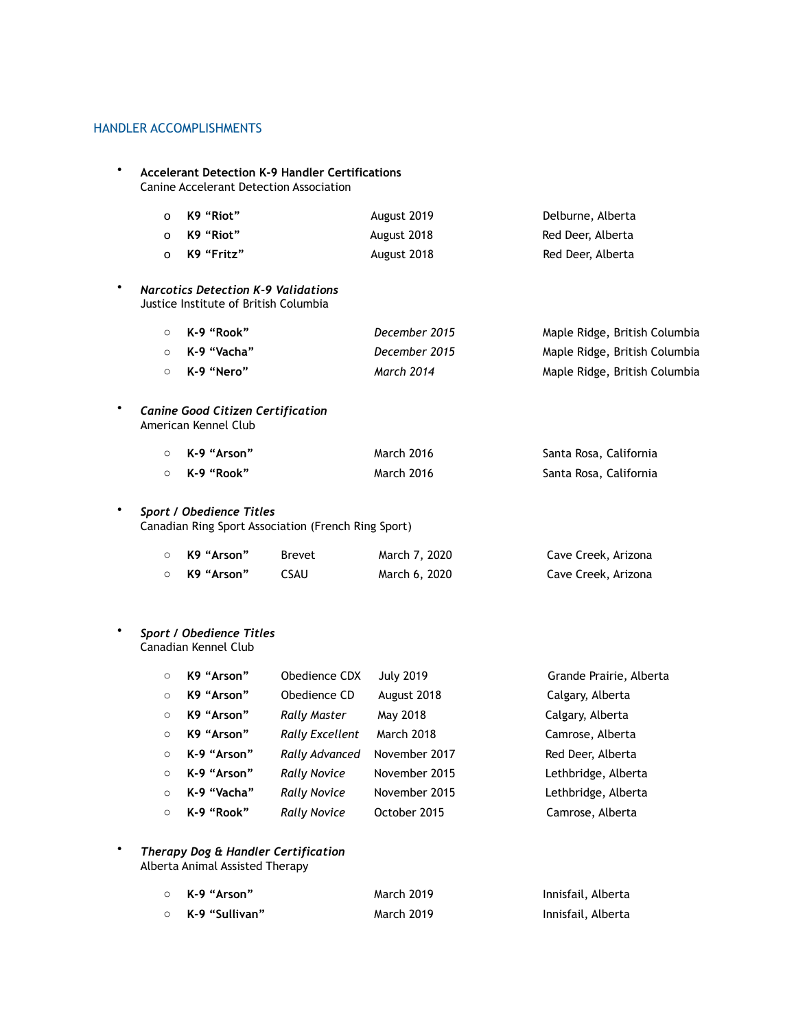## HANDLER ACCOMPLISHMENTS

• **Accelerant Detection K-9 Handler Certifications** Canine Accelerant Detection Association o **K9 "Riot"** August 2019 Delburne, Alberta o K9 "Riot" August 2018 August 2018 Red Deer, Alberta o **K9 "Fritz"** August 2018 Red Deer, Alberta • *Narcotics Detection K-9 Validations*  Justice Institute of British Columbia o **K-9 "Rook"** *December 2015* Maple Ridge, British Columbia o **K-9 "Vacha"** *December 2015* Maple Ridge, British Columbia o **K-9 "Nero"** *March 2014* Maple Ridge, British Columbia • *Canine Good Citizen Certification*  American Kennel Club o **K-9 "Arson"** March 2016 Santa Rosa, California o **K-9 "Rook"** March 2016 Santa Rosa, California • *Sport / Obedience Titles* Canadian Ring Sport Association (French Ring Sport) o **K9 "Arson"** Brevet March 7, 2020 Cave Creek, Arizona o **K9 "Arson"** CSAU March 6, 2020 Cave Creek, Arizona • *Sport / Obedience Titles* Canadian Kennel Club o **K9 "Arson"** Obedience CDX July 2019 Grande Prairie, Alberta

|         | $\circ$ $\sim$ $\sim$ $\sim$ $\sim$ $\sim$ $\sim$ | ODegience CDX          | <b>JULY ZUTY</b> | Grande Prairie, Alberta |
|---------|---------------------------------------------------|------------------------|------------------|-------------------------|
| $\circ$ | K9 "Arson"                                        | Obedience CD           | August 2018      | Calgary, Alberta        |
| $\circ$ | K9 "Arson"                                        | Rally Master           | May 2018         | Calgary, Alberta        |
| $\circ$ | K9 "Arson"                                        | <b>Rally Excellent</b> | March 2018       | Camrose, Alberta        |
|         | ○ K-9 "Arson"                                     | Rally Advanced         | November 2017    | Red Deer, Alberta       |
|         | $\circ$ K-9 "Arson"                               | <b>Rally Novice</b>    | November 2015    | Lethbridge, Alberta     |
| $\circ$ | K-9 "Vacha"                                       | <b>Rally Novice</b>    | November 2015    | Lethbridge, Alberta     |
|         | $\circ$ K-9 "Rook"                                | <b>Rally Novice</b>    | October 2015     | Camrose, Alberta        |

• *Therapy Dog & Handler Certification*  Alberta Animal Assisted Therapy

| ○  K-9 "Arson"   | <b>March 2019</b> | Innisfail, Alberta |
|------------------|-------------------|--------------------|
| ○ K-9 "Sullivan" | <b>March 2019</b> | Innisfail, Alberta |